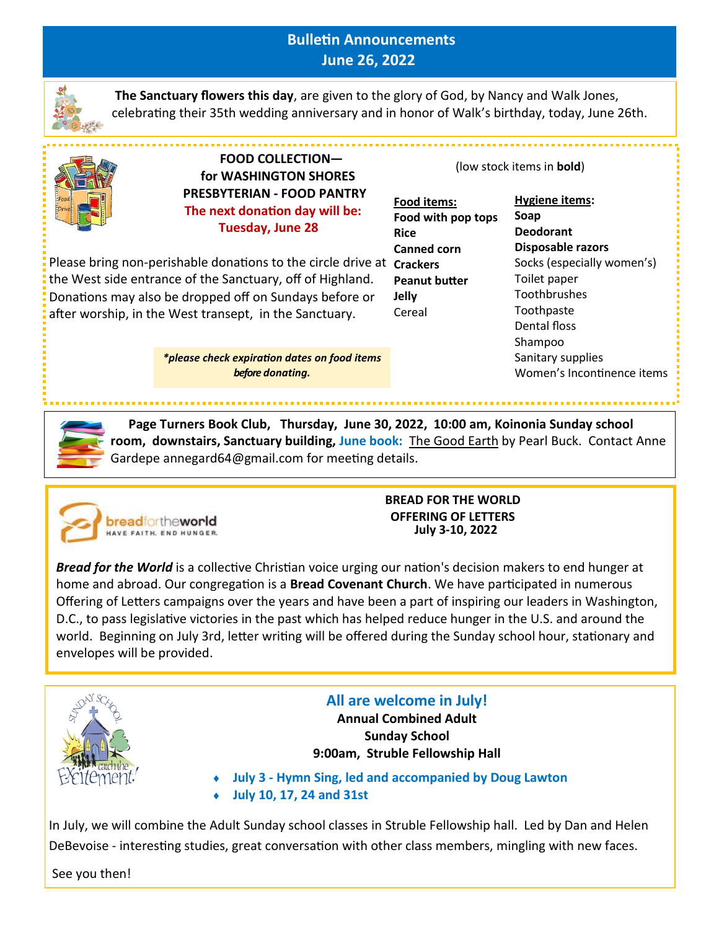# **Bulletin Announcements June 26, 2022**



**The Sanctuary flowers this day**, are given to the glory of God, by Nancy and Walk Jones, celebrating their 35th wedding anniversary and in honor of Walk's birthday, today, June 26th.



 **FOOD COLLECTION for WASHINGTON SHORES PRESBYTERIAN - FOOD PANTRY The next donation day will be: Tuesday, June 28**

Please bring non-perishable donations to the circle drive at **Crackers** the West side entrance of the Sanctuary, off of Highland. Donations may also be dropped off on Sundays before or after worship, in the West transept, in the Sanctuary.

> *\*please check expiration dates on food items before donating.*

(low stock items in **bold**)

**Food items: Food with pop tops Rice Canned corn Peanut butter Jelly** Cereal

### **Hygiene items: Soap Deodorant Disposable razors** Socks (especially women's) Toilet paper Toothbrushes **Toothpaste** Dental floss Shampoo Sanitary supplies Women's Incontinence items

 **Page Turners Book Club, Thursday, June 30, 2022, 10:00 am, Koinonia Sunday school room, downstairs, Sanctuary building, June book:** The Good Earth by Pearl Buck. Contact Anne Gardepe annegard64@gmail.com for meeting details.



**BREAD FOR THE WORLD OFFERING OF LETTERS July 3-10, 2022**

*Bread for the World* is a collective Christian voice urging our nation's decision makers to end hunger at home and abroad. Our congregation is a **Bread Covenant Church**. We have participated in numerous Offering of Letters campaigns over the years and have been a part of inspiring our leaders in Washington, D.C., to pass legislative victories in the past which has helped reduce hunger in the U.S. and around the world. Beginning on July 3rd, letter writing will be offered during the Sunday school hour, stationary and envelopes will be provided.



**All are welcome in July!** 

**Annual Combined Adult Sunday School 9:00am, Struble Fellowship Hall** 

 **July 3 - Hymn Sing, led and accompanied by Doug Lawton July 10, 17, 24 and 31st**

In July, we will combine the Adult Sunday school classes in Struble Fellowship hall. Led by Dan and Helen DeBevoise - interesting studies, great conversation with other class members, mingling with new faces.

See you then!